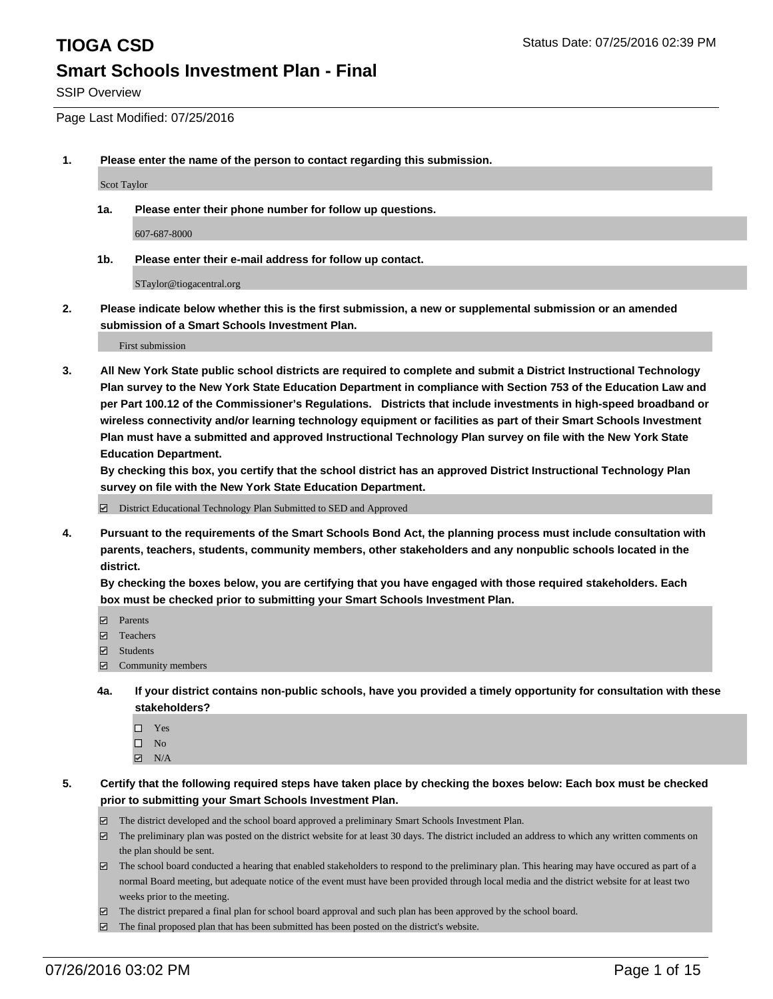SSIP Overview

Page Last Modified: 07/25/2016

**1. Please enter the name of the person to contact regarding this submission.**

Scot Taylor

**1a. Please enter their phone number for follow up questions.**

607-687-8000

**1b. Please enter their e-mail address for follow up contact.**

STaylor@tiogacentral.org

**2. Please indicate below whether this is the first submission, a new or supplemental submission or an amended submission of a Smart Schools Investment Plan.**

First submission

**3. All New York State public school districts are required to complete and submit a District Instructional Technology Plan survey to the New York State Education Department in compliance with Section 753 of the Education Law and per Part 100.12 of the Commissioner's Regulations. Districts that include investments in high-speed broadband or wireless connectivity and/or learning technology equipment or facilities as part of their Smart Schools Investment Plan must have a submitted and approved Instructional Technology Plan survey on file with the New York State Education Department.** 

**By checking this box, you certify that the school district has an approved District Instructional Technology Plan survey on file with the New York State Education Department.**

District Educational Technology Plan Submitted to SED and Approved

**4. Pursuant to the requirements of the Smart Schools Bond Act, the planning process must include consultation with parents, teachers, students, community members, other stakeholders and any nonpublic schools located in the district.** 

**By checking the boxes below, you are certifying that you have engaged with those required stakeholders. Each box must be checked prior to submitting your Smart Schools Investment Plan.**

- **Parents**
- Teachers
- $\blacksquare$  Students
- Community members
- **4a. If your district contains non-public schools, have you provided a timely opportunity for consultation with these stakeholders?**
	- $\Box$  Yes  $\square$  No
	- $\boxtimes$  N/A
- **5. Certify that the following required steps have taken place by checking the boxes below: Each box must be checked prior to submitting your Smart Schools Investment Plan.**
	- The district developed and the school board approved a preliminary Smart Schools Investment Plan.
	- $\boxdot$  The preliminary plan was posted on the district website for at least 30 days. The district included an address to which any written comments on the plan should be sent.
	- The school board conducted a hearing that enabled stakeholders to respond to the preliminary plan. This hearing may have occured as part of a normal Board meeting, but adequate notice of the event must have been provided through local media and the district website for at least two weeks prior to the meeting.
	- The district prepared a final plan for school board approval and such plan has been approved by the school board.
	- $\boxdot$  The final proposed plan that has been submitted has been posted on the district's website.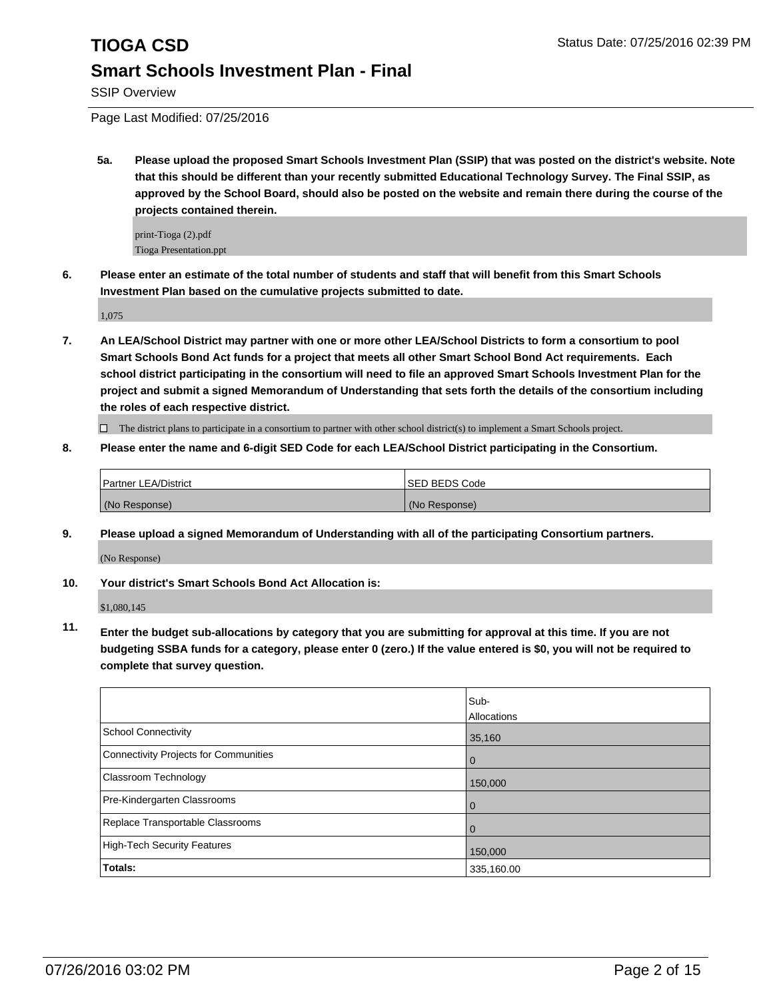SSIP Overview

Page Last Modified: 07/25/2016

**5a. Please upload the proposed Smart Schools Investment Plan (SSIP) that was posted on the district's website. Note that this should be different than your recently submitted Educational Technology Survey. The Final SSIP, as approved by the School Board, should also be posted on the website and remain there during the course of the projects contained therein.**

print-Tioga (2).pdf Tioga Presentation.ppt

**6. Please enter an estimate of the total number of students and staff that will benefit from this Smart Schools Investment Plan based on the cumulative projects submitted to date.**

1,075

**7. An LEA/School District may partner with one or more other LEA/School Districts to form a consortium to pool Smart Schools Bond Act funds for a project that meets all other Smart School Bond Act requirements. Each school district participating in the consortium will need to file an approved Smart Schools Investment Plan for the project and submit a signed Memorandum of Understanding that sets forth the details of the consortium including the roles of each respective district.**

 $\Box$  The district plans to participate in a consortium to partner with other school district(s) to implement a Smart Schools project.

**8. Please enter the name and 6-digit SED Code for each LEA/School District participating in the Consortium.**

| <b>Partner LEA/District</b> | <b>ISED BEDS Code</b> |
|-----------------------------|-----------------------|
| (No Response)               | (No Response)         |

**9. Please upload a signed Memorandum of Understanding with all of the participating Consortium partners.**

(No Response)

### **10. Your district's Smart Schools Bond Act Allocation is:**

\$1,080,145

**11. Enter the budget sub-allocations by category that you are submitting for approval at this time. If you are not budgeting SSBA funds for a category, please enter 0 (zero.) If the value entered is \$0, you will not be required to complete that survey question.**

|                                       | Sub-<br>Allocations |
|---------------------------------------|---------------------|
| School Connectivity                   | 35,160              |
| Connectivity Projects for Communities | 0                   |
| <b>Classroom Technology</b>           | 150,000             |
| Pre-Kindergarten Classrooms           | 0                   |
| Replace Transportable Classrooms      |                     |
| High-Tech Security Features           | 150,000             |
| Totals:                               | 335,160.00          |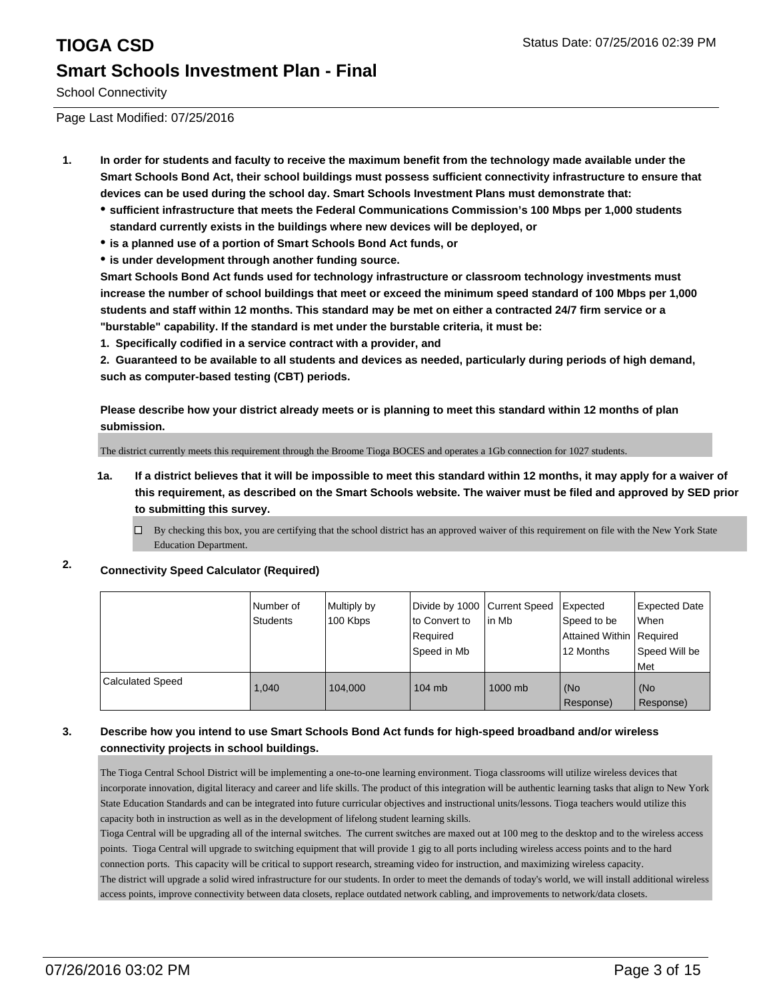# **TIOGA CSD** Status Date: 07/25/2016 02:39 PM **Smart Schools Investment Plan - Final**

School Connectivity

Page Last Modified: 07/25/2016

- **1. In order for students and faculty to receive the maximum benefit from the technology made available under the Smart Schools Bond Act, their school buildings must possess sufficient connectivity infrastructure to ensure that devices can be used during the school day. Smart Schools Investment Plans must demonstrate that:**
	- **sufficient infrastructure that meets the Federal Communications Commission's 100 Mbps per 1,000 students standard currently exists in the buildings where new devices will be deployed, or**
	- **is a planned use of a portion of Smart Schools Bond Act funds, or**
	- **is under development through another funding source.**

**Smart Schools Bond Act funds used for technology infrastructure or classroom technology investments must increase the number of school buildings that meet or exceed the minimum speed standard of 100 Mbps per 1,000 students and staff within 12 months. This standard may be met on either a contracted 24/7 firm service or a "burstable" capability. If the standard is met under the burstable criteria, it must be:**

**1. Specifically codified in a service contract with a provider, and**

**2. Guaranteed to be available to all students and devices as needed, particularly during periods of high demand, such as computer-based testing (CBT) periods.**

**Please describe how your district already meets or is planning to meet this standard within 12 months of plan submission.**

The district currently meets this requirement through the Broome Tioga BOCES and operates a 1Gb connection for 1027 students.

- **1a. If a district believes that it will be impossible to meet this standard within 12 months, it may apply for a waiver of this requirement, as described on the Smart Schools website. The waiver must be filed and approved by SED prior to submitting this survey.**
	- $\Box$  By checking this box, you are certifying that the school district has an approved waiver of this requirement on file with the New York State Education Department.
- **2. Connectivity Speed Calculator (Required)**

|                         | l Number of<br><b>Students</b> | Multiply by<br>100 Kbps | Divide by 1000 Current Speed<br>to Convert to<br>Required<br>Speed in Mb | l in Mb | Expected<br>Speed to be<br>Attained Within   Required<br>12 Months | Expected Date<br>lWhen<br>Speed Will be<br>l Met |
|-------------------------|--------------------------------|-------------------------|--------------------------------------------------------------------------|---------|--------------------------------------------------------------------|--------------------------------------------------|
| <b>Calculated Speed</b> | 1.040                          | 104.000                 | $104$ mb                                                                 | 1000 mb | (No<br>Response)                                                   | l (No<br>Response)                               |

### **3. Describe how you intend to use Smart Schools Bond Act funds for high-speed broadband and/or wireless connectivity projects in school buildings.**

The Tioga Central School District will be implementing a one-to-one learning environment. Tioga classrooms will utilize wireless devices that incorporate innovation, digital literacy and career and life skills. The product of this integration will be authentic learning tasks that align to New York State Education Standards and can be integrated into future curricular objectives and instructional units/lessons. Tioga teachers would utilize this capacity both in instruction as well as in the development of lifelong student learning skills.

Tioga Central will be upgrading all of the internal switches. The current switches are maxed out at 100 meg to the desktop and to the wireless access points. Tioga Central will upgrade to switching equipment that will provide 1 gig to all ports including wireless access points and to the hard connection ports. This capacity will be critical to support research, streaming video for instruction, and maximizing wireless capacity.

The district will upgrade a solid wired infrastructure for our students. In order to meet the demands of today's world, we will install additional wireless access points, improve connectivity between data closets, replace outdated network cabling, and improvements to network/data closets.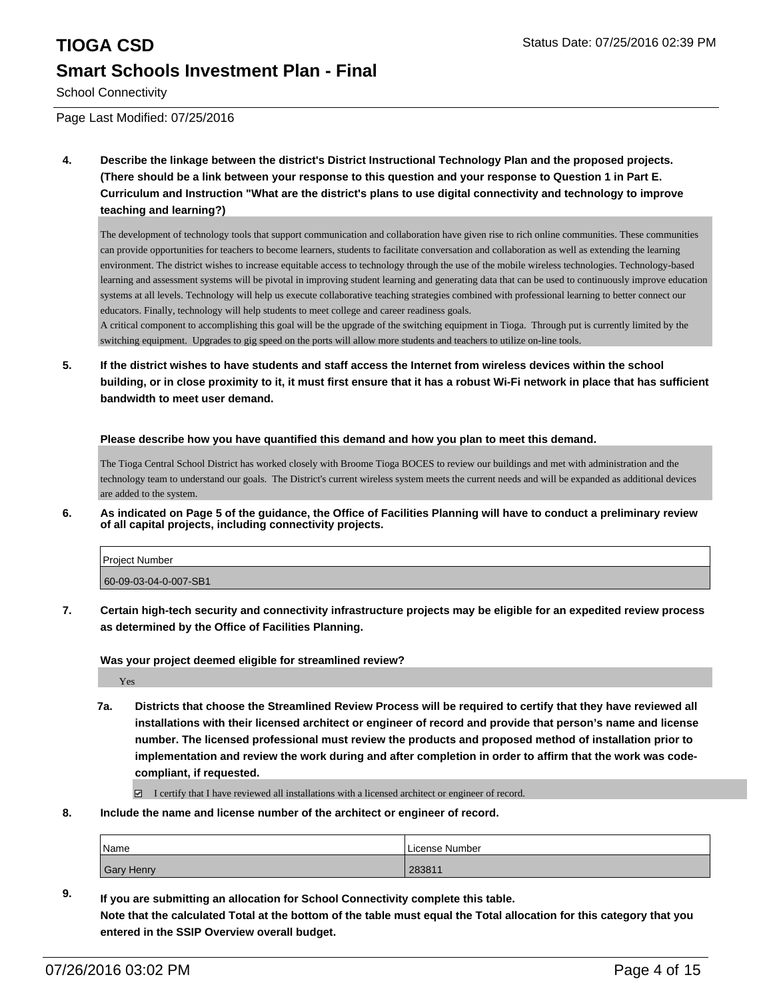# **TIOGA CSD** Status Date: 07/25/2016 02:39 PM **Smart Schools Investment Plan - Final**

School Connectivity

Page Last Modified: 07/25/2016

**4. Describe the linkage between the district's District Instructional Technology Plan and the proposed projects. (There should be a link between your response to this question and your response to Question 1 in Part E. Curriculum and Instruction "What are the district's plans to use digital connectivity and technology to improve teaching and learning?)**

The development of technology tools that support communication and collaboration have given rise to rich online communities. These communities can provide opportunities for teachers to become learners, students to facilitate conversation and collaboration as well as extending the learning environment. The district wishes to increase equitable access to technology through the use of the mobile wireless technologies. Technology-based learning and assessment systems will be pivotal in improving student learning and generating data that can be used to continuously improve education systems at all levels. Technology will help us execute collaborative teaching strategies combined with professional learning to better connect our educators. Finally, technology will help students to meet college and career readiness goals.

A critical component to accomplishing this goal will be the upgrade of the switching equipment in Tioga. Through put is currently limited by the switching equipment. Upgrades to gig speed on the ports will allow more students and teachers to utilize on-line tools.

**5. If the district wishes to have students and staff access the Internet from wireless devices within the school building, or in close proximity to it, it must first ensure that it has a robust Wi-Fi network in place that has sufficient bandwidth to meet user demand.**

**Please describe how you have quantified this demand and how you plan to meet this demand.**

The Tioga Central School District has worked closely with Broome Tioga BOCES to review our buildings and met with administration and the technology team to understand our goals. The District's current wireless system meets the current needs and will be expanded as additional devices are added to the system.

**6. As indicated on Page 5 of the guidance, the Office of Facilities Planning will have to conduct a preliminary review of all capital projects, including connectivity projects.**

| <b>Project Number</b> |  |
|-----------------------|--|
| 60-09-03-04-0-007-SB1 |  |

**7. Certain high-tech security and connectivity infrastructure projects may be eligible for an expedited review process as determined by the Office of Facilities Planning.**

**Was your project deemed eligible for streamlined review?**

Yes

**7a. Districts that choose the Streamlined Review Process will be required to certify that they have reviewed all installations with their licensed architect or engineer of record and provide that person's name and license number. The licensed professional must review the products and proposed method of installation prior to implementation and review the work during and after completion in order to affirm that the work was codecompliant, if requested.**

 $\Box$  I certify that I have reviewed all installations with a licensed architect or engineer of record.

**8. Include the name and license number of the architect or engineer of record.**

| <i>Name</i> | License Number |
|-------------|----------------|
| Gary Henry  | 283811         |

**9. If you are submitting an allocation for School Connectivity complete this table. Note that the calculated Total at the bottom of the table must equal the Total allocation for this category that you entered in the SSIP Overview overall budget.**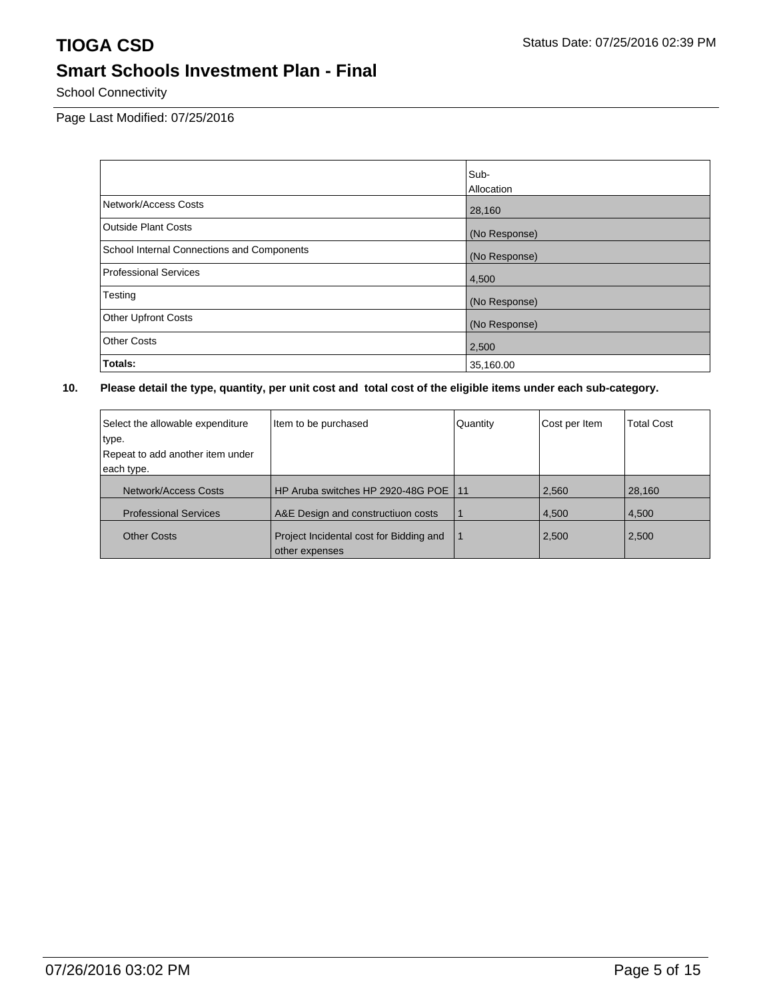School Connectivity

Page Last Modified: 07/25/2016

|                                            | Sub-          |
|--------------------------------------------|---------------|
|                                            | Allocation    |
| Network/Access Costs                       | 28,160        |
| <b>Outside Plant Costs</b>                 | (No Response) |
| School Internal Connections and Components | (No Response) |
| Professional Services                      | 4,500         |
| Testing                                    | (No Response) |
| Other Upfront Costs                        | (No Response) |
| <b>Other Costs</b>                         | 2,500         |
| Totals:                                    | 35,160.00     |

| Select the allowable expenditure | Item to be purchased                                      | Quantity | Cost per Item | <b>Total Cost</b> |
|----------------------------------|-----------------------------------------------------------|----------|---------------|-------------------|
| type.                            |                                                           |          |               |                   |
| Repeat to add another item under |                                                           |          |               |                   |
| each type.                       |                                                           |          |               |                   |
| Network/Access Costs             | HP Aruba switches HP 2920-48G POE                         | 11       | 2,560         | 28,160            |
| <b>Professional Services</b>     | A&E Design and constructiuon costs                        |          | 4,500         | 4,500             |
| <b>Other Costs</b>               | Project Incidental cost for Bidding and<br>other expenses |          | 2,500         | 2,500             |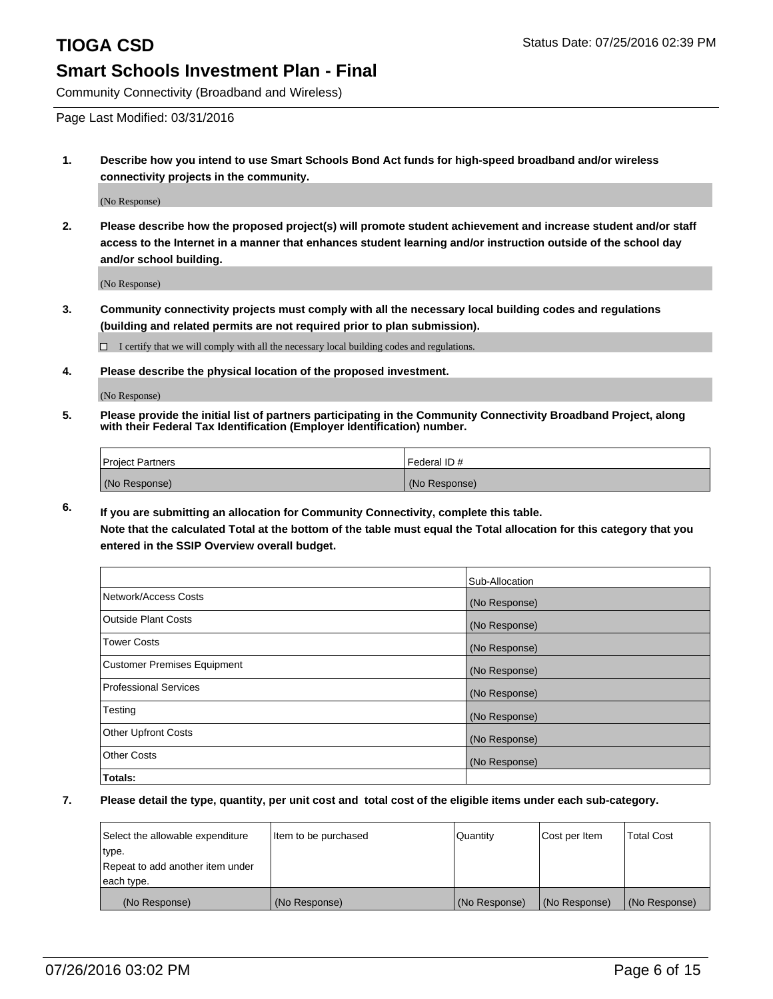Community Connectivity (Broadband and Wireless)

Page Last Modified: 03/31/2016

**1. Describe how you intend to use Smart Schools Bond Act funds for high-speed broadband and/or wireless connectivity projects in the community.**

(No Response)

**2. Please describe how the proposed project(s) will promote student achievement and increase student and/or staff access to the Internet in a manner that enhances student learning and/or instruction outside of the school day and/or school building.**

(No Response)

**3. Community connectivity projects must comply with all the necessary local building codes and regulations (building and related permits are not required prior to plan submission).**

 $\Box$  I certify that we will comply with all the necessary local building codes and regulations.

**4. Please describe the physical location of the proposed investment.**

(No Response)

**5. Please provide the initial list of partners participating in the Community Connectivity Broadband Project, along with their Federal Tax Identification (Employer Identification) number.**

| Project Partners | I Federal ID # |
|------------------|----------------|
| (No Response)    | (No Response)  |

**6. If you are submitting an allocation for Community Connectivity, complete this table. Note that the calculated Total at the bottom of the table must equal the Total allocation for this category that you**

**entered in the SSIP Overview overall budget.**

|                             | Sub-Allocation |
|-----------------------------|----------------|
| Network/Access Costs        | (No Response)  |
| Outside Plant Costs         | (No Response)  |
| <b>Tower Costs</b>          | (No Response)  |
| Customer Premises Equipment | (No Response)  |
| Professional Services       | (No Response)  |
| Testing                     | (No Response)  |
| Other Upfront Costs         | (No Response)  |
| Other Costs                 | (No Response)  |
| Totals:                     |                |

| Select the allowable expenditure | litem to be purchased | Quantity      | Cost per Item | Total Cost    |
|----------------------------------|-----------------------|---------------|---------------|---------------|
| type.                            |                       |               |               |               |
| Repeat to add another item under |                       |               |               |               |
| each type.                       |                       |               |               |               |
| (No Response)                    | (No Response)         | (No Response) | (No Response) | (No Response) |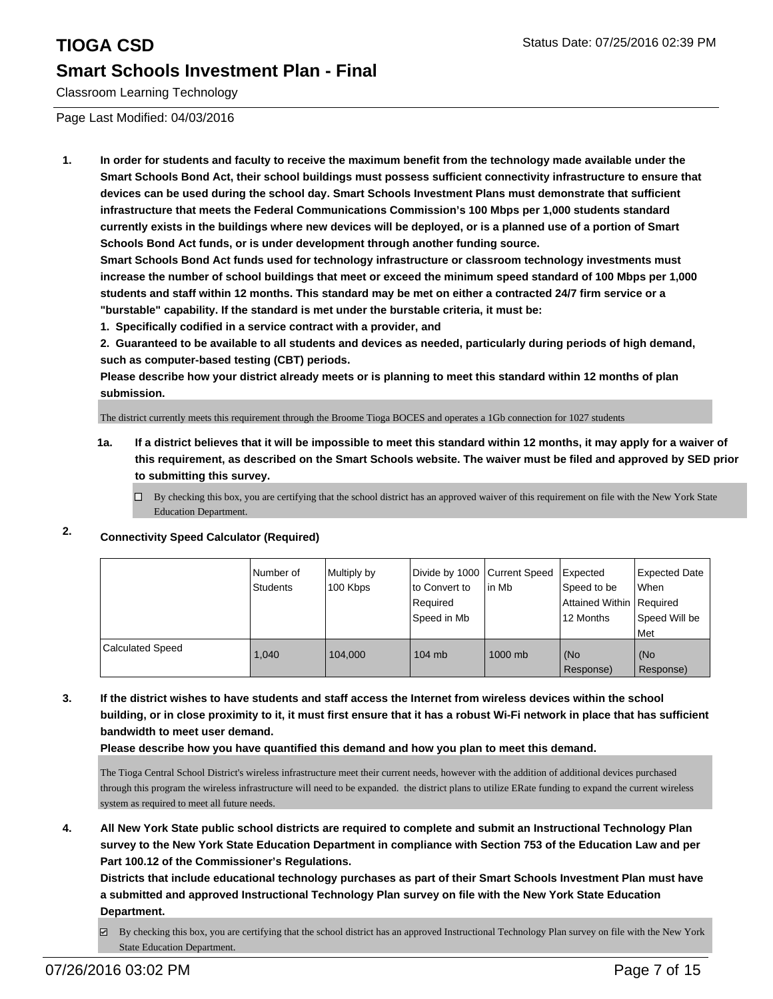Classroom Learning Technology

Page Last Modified: 04/03/2016

**1. In order for students and faculty to receive the maximum benefit from the technology made available under the Smart Schools Bond Act, their school buildings must possess sufficient connectivity infrastructure to ensure that devices can be used during the school day. Smart Schools Investment Plans must demonstrate that sufficient infrastructure that meets the Federal Communications Commission's 100 Mbps per 1,000 students standard currently exists in the buildings where new devices will be deployed, or is a planned use of a portion of Smart Schools Bond Act funds, or is under development through another funding source.**

**Smart Schools Bond Act funds used for technology infrastructure or classroom technology investments must increase the number of school buildings that meet or exceed the minimum speed standard of 100 Mbps per 1,000 students and staff within 12 months. This standard may be met on either a contracted 24/7 firm service or a "burstable" capability. If the standard is met under the burstable criteria, it must be:**

**1. Specifically codified in a service contract with a provider, and**

**2. Guaranteed to be available to all students and devices as needed, particularly during periods of high demand, such as computer-based testing (CBT) periods.**

**Please describe how your district already meets or is planning to meet this standard within 12 months of plan submission.**

The district currently meets this requirement through the Broome Tioga BOCES and operates a 1Gb connection for 1027 students

- **1a. If a district believes that it will be impossible to meet this standard within 12 months, it may apply for a waiver of this requirement, as described on the Smart Schools website. The waiver must be filed and approved by SED prior to submitting this survey.**
	- $\Box$  By checking this box, you are certifying that the school district has an approved waiver of this requirement on file with the New York State Education Department.

## **2. Connectivity Speed Calculator (Required)**

|                         | l Number of<br><b>Students</b> | Multiply by<br>100 Kbps | to Convert to<br>Required<br>Speed in Mb | Divide by 1000 Current Speed Expected<br>lin Mb | Speed to be<br>Attained Within   Required<br>12 Months | <b>Expected Date</b><br>l When<br>Speed Will be<br>l Met |
|-------------------------|--------------------------------|-------------------------|------------------------------------------|-------------------------------------------------|--------------------------------------------------------|----------------------------------------------------------|
| <b>Calculated Speed</b> | 1.040                          | 104.000                 | $104$ mb                                 | $1000$ mb                                       | (No<br>Response)                                       | (No<br>Response)                                         |

**3. If the district wishes to have students and staff access the Internet from wireless devices within the school building, or in close proximity to it, it must first ensure that it has a robust Wi-Fi network in place that has sufficient bandwidth to meet user demand.**

**Please describe how you have quantified this demand and how you plan to meet this demand.**

The Tioga Central School District's wireless infrastructure meet their current needs, however with the addition of additional devices purchased through this program the wireless infrastructure will need to be expanded. the district plans to utilize ERate funding to expand the current wireless system as required to meet all future needs.

**4. All New York State public school districts are required to complete and submit an Instructional Technology Plan survey to the New York State Education Department in compliance with Section 753 of the Education Law and per Part 100.12 of the Commissioner's Regulations.**

**Districts that include educational technology purchases as part of their Smart Schools Investment Plan must have a submitted and approved Instructional Technology Plan survey on file with the New York State Education Department.**

 $\boxtimes$  By checking this box, you are certifying that the school district has an approved Instructional Technology Plan survey on file with the New York State Education Department.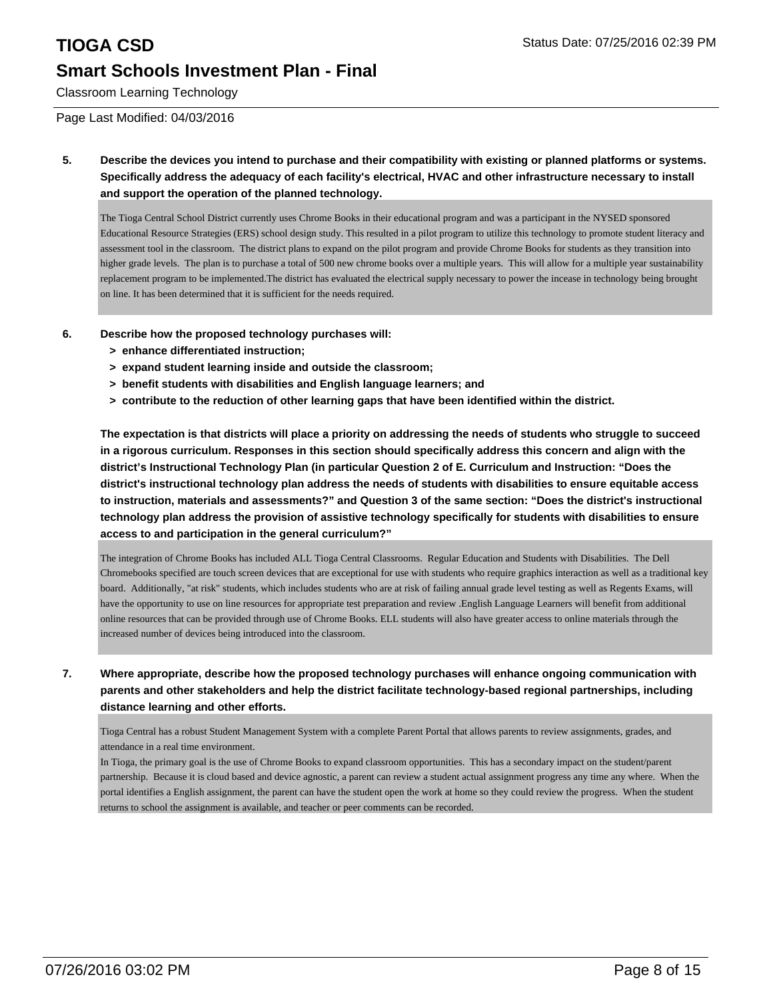Classroom Learning Technology

Page Last Modified: 04/03/2016

**5. Describe the devices you intend to purchase and their compatibility with existing or planned platforms or systems. Specifically address the adequacy of each facility's electrical, HVAC and other infrastructure necessary to install and support the operation of the planned technology.**

The Tioga Central School District currently uses Chrome Books in their educational program and was a participant in the NYSED sponsored Educational Resource Strategies (ERS) school design study. This resulted in a pilot program to utilize this technology to promote student literacy and assessment tool in the classroom. The district plans to expand on the pilot program and provide Chrome Books for students as they transition into higher grade levels. The plan is to purchase a total of 500 new chrome books over a multiple years. This will allow for a multiple year sustainability replacement program to be implemented.The district has evaluated the electrical supply necessary to power the incease in technology being brought on line. It has been determined that it is sufficient for the needs required.

- **6. Describe how the proposed technology purchases will:**
	- **> enhance differentiated instruction;**
	- **> expand student learning inside and outside the classroom;**
	- **> benefit students with disabilities and English language learners; and**
	- **> contribute to the reduction of other learning gaps that have been identified within the district.**

**The expectation is that districts will place a priority on addressing the needs of students who struggle to succeed in a rigorous curriculum. Responses in this section should specifically address this concern and align with the district's Instructional Technology Plan (in particular Question 2 of E. Curriculum and Instruction: "Does the district's instructional technology plan address the needs of students with disabilities to ensure equitable access to instruction, materials and assessments?" and Question 3 of the same section: "Does the district's instructional technology plan address the provision of assistive technology specifically for students with disabilities to ensure access to and participation in the general curriculum?"**

The integration of Chrome Books has included ALL Tioga Central Classrooms. Regular Education and Students with Disabilities. The Dell Chromebooks specified are touch screen devices that are exceptional for use with students who require graphics interaction as well as a traditional key board. Additionally, "at risk" students, which includes students who are at risk of failing annual grade level testing as well as Regents Exams, will have the opportunity to use on line resources for appropriate test preparation and review .English Language Learners will benefit from additional online resources that can be provided through use of Chrome Books. ELL students will also have greater access to online materials through the increased number of devices being introduced into the classroom.

**7. Where appropriate, describe how the proposed technology purchases will enhance ongoing communication with parents and other stakeholders and help the district facilitate technology-based regional partnerships, including distance learning and other efforts.**

Tioga Central has a robust Student Management System with a complete Parent Portal that allows parents to review assignments, grades, and attendance in a real time environment.

In Tioga, the primary goal is the use of Chrome Books to expand classroom opportunities. This has a secondary impact on the student/parent partnership. Because it is cloud based and device agnostic, a parent can review a student actual assignment progress any time any where. When the portal identifies a English assignment, the parent can have the student open the work at home so they could review the progress. When the student returns to school the assignment is available, and teacher or peer comments can be recorded.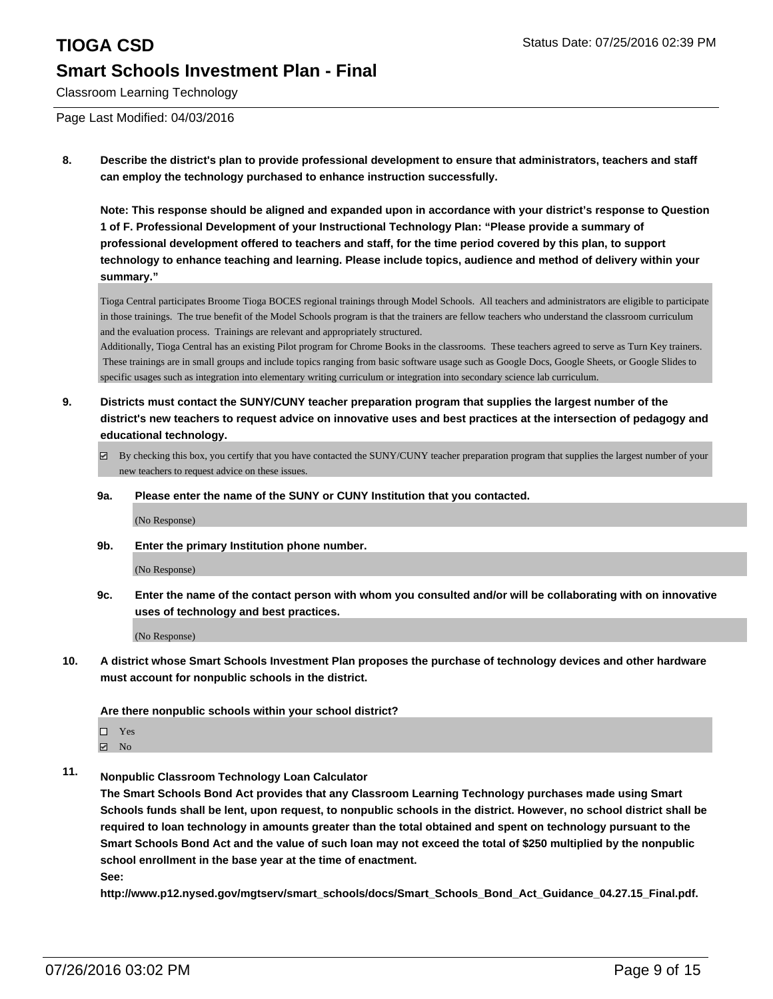# **TIOGA CSD** Status Date: 07/25/2016 02:39 PM **Smart Schools Investment Plan - Final**

Classroom Learning Technology

Page Last Modified: 04/03/2016

**8. Describe the district's plan to provide professional development to ensure that administrators, teachers and staff can employ the technology purchased to enhance instruction successfully.**

**Note: This response should be aligned and expanded upon in accordance with your district's response to Question 1 of F. Professional Development of your Instructional Technology Plan: "Please provide a summary of professional development offered to teachers and staff, for the time period covered by this plan, to support technology to enhance teaching and learning. Please include topics, audience and method of delivery within your summary."**

Tioga Central participates Broome Tioga BOCES regional trainings through Model Schools. All teachers and administrators are eligible to participate in those trainings. The true benefit of the Model Schools program is that the trainers are fellow teachers who understand the classroom curriculum and the evaluation process. Trainings are relevant and appropriately structured.

Additionally, Tioga Central has an existing Pilot program for Chrome Books in the classrooms. These teachers agreed to serve as Turn Key trainers. These trainings are in small groups and include topics ranging from basic software usage such as Google Docs, Google Sheets, or Google Slides to specific usages such as integration into elementary writing curriculum or integration into secondary science lab curriculum.

- **9. Districts must contact the SUNY/CUNY teacher preparation program that supplies the largest number of the district's new teachers to request advice on innovative uses and best practices at the intersection of pedagogy and educational technology.**
	- By checking this box, you certify that you have contacted the SUNY/CUNY teacher preparation program that supplies the largest number of your new teachers to request advice on these issues.
	- **9a. Please enter the name of the SUNY or CUNY Institution that you contacted.**

(No Response)

**9b. Enter the primary Institution phone number.**

(No Response)

**9c. Enter the name of the contact person with whom you consulted and/or will be collaborating with on innovative uses of technology and best practices.**

(No Response)

**10. A district whose Smart Schools Investment Plan proposes the purchase of technology devices and other hardware must account for nonpublic schools in the district.**

**Are there nonpublic schools within your school district?**

- □ Yes
- $\blacksquare$  No
- **11. Nonpublic Classroom Technology Loan Calculator**

**The Smart Schools Bond Act provides that any Classroom Learning Technology purchases made using Smart Schools funds shall be lent, upon request, to nonpublic schools in the district. However, no school district shall be required to loan technology in amounts greater than the total obtained and spent on technology pursuant to the Smart Schools Bond Act and the value of such loan may not exceed the total of \$250 multiplied by the nonpublic school enrollment in the base year at the time of enactment. See:**

**http://www.p12.nysed.gov/mgtserv/smart\_schools/docs/Smart\_Schools\_Bond\_Act\_Guidance\_04.27.15\_Final.pdf.**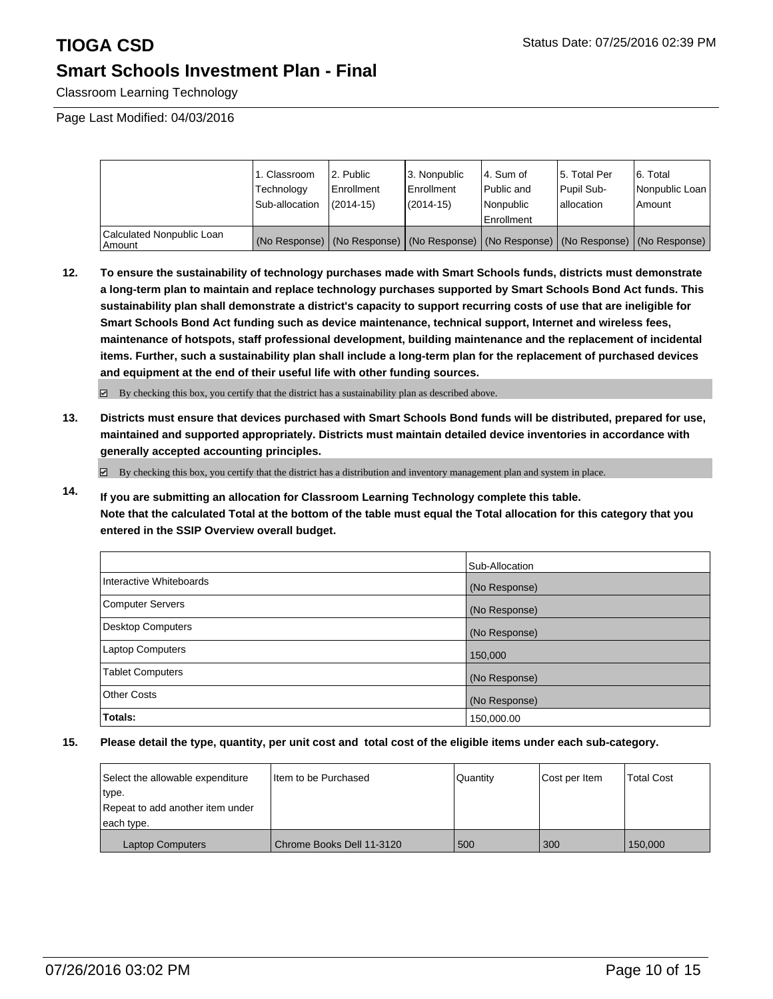Classroom Learning Technology

Page Last Modified: 04/03/2016

|                                     | 1. Classroom<br>Technology<br>Sub-allocation | 2. Public<br>Enrollment<br>$(2014 - 15)$ | 3. Nonpublic<br><b>Enrollment</b><br>(2014-15) | 4. Sum of<br>Public and<br>Nonpublic<br>Enrollment                                            | 15. Total Per<br>Pupil Sub-<br>lallocation | 6. Total<br>Nonpublic Loan<br>Amount |
|-------------------------------------|----------------------------------------------|------------------------------------------|------------------------------------------------|-----------------------------------------------------------------------------------------------|--------------------------------------------|--------------------------------------|
| Calculated Nonpublic Loan<br>Amount |                                              |                                          |                                                | (No Response)   (No Response)   (No Response)   (No Response)   (No Response)   (No Response) |                                            |                                      |

**12. To ensure the sustainability of technology purchases made with Smart Schools funds, districts must demonstrate a long-term plan to maintain and replace technology purchases supported by Smart Schools Bond Act funds. This sustainability plan shall demonstrate a district's capacity to support recurring costs of use that are ineligible for Smart Schools Bond Act funding such as device maintenance, technical support, Internet and wireless fees, maintenance of hotspots, staff professional development, building maintenance and the replacement of incidental items. Further, such a sustainability plan shall include a long-term plan for the replacement of purchased devices and equipment at the end of their useful life with other funding sources.**

 $\boxdot$  By checking this box, you certify that the district has a sustainability plan as described above.

**13. Districts must ensure that devices purchased with Smart Schools Bond funds will be distributed, prepared for use, maintained and supported appropriately. Districts must maintain detailed device inventories in accordance with generally accepted accounting principles.**

By checking this box, you certify that the district has a distribution and inventory management plan and system in place.

**14. If you are submitting an allocation for Classroom Learning Technology complete this table. Note that the calculated Total at the bottom of the table must equal the Total allocation for this category that you entered in the SSIP Overview overall budget.**

|                         | Sub-Allocation |
|-------------------------|----------------|
| Interactive Whiteboards | (No Response)  |
| Computer Servers        | (No Response)  |
| Desktop Computers       | (No Response)  |
| Laptop Computers        | 150,000        |
| <b>Tablet Computers</b> | (No Response)  |
| Other Costs             | (No Response)  |
| Totals:                 | 150,000.00     |

| Select the allowable expenditure | I Item to be Purchased    | l Quantitv | Cost per Item | <b>Total Cost</b> |
|----------------------------------|---------------------------|------------|---------------|-------------------|
| type.                            |                           |            |               |                   |
| Repeat to add another item under |                           |            |               |                   |
| each type.                       |                           |            |               |                   |
| <b>Laptop Computers</b>          | Chrome Books Dell 11-3120 | 500        | 300           | 150,000           |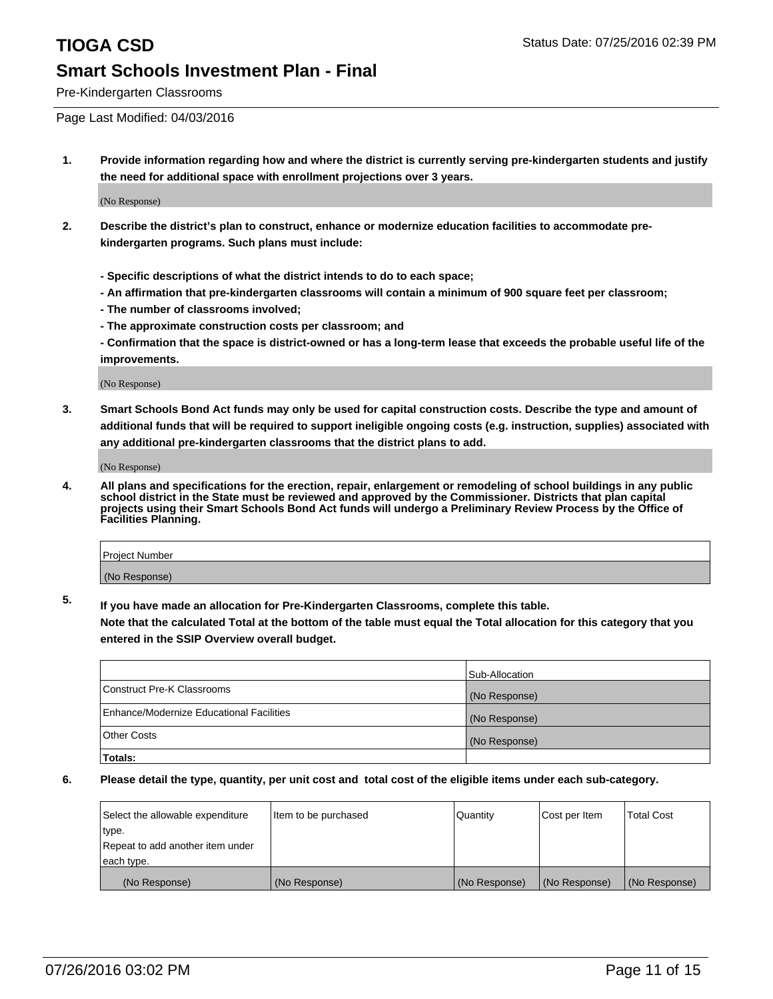Pre-Kindergarten Classrooms

Page Last Modified: 04/03/2016

**1. Provide information regarding how and where the district is currently serving pre-kindergarten students and justify the need for additional space with enrollment projections over 3 years.**

(No Response)

- **2. Describe the district's plan to construct, enhance or modernize education facilities to accommodate prekindergarten programs. Such plans must include:**
	- **Specific descriptions of what the district intends to do to each space;**
	- **An affirmation that pre-kindergarten classrooms will contain a minimum of 900 square feet per classroom;**
	- **The number of classrooms involved;**
	- **The approximate construction costs per classroom; and**
	- **Confirmation that the space is district-owned or has a long-term lease that exceeds the probable useful life of the improvements.**

(No Response)

**3. Smart Schools Bond Act funds may only be used for capital construction costs. Describe the type and amount of additional funds that will be required to support ineligible ongoing costs (e.g. instruction, supplies) associated with any additional pre-kindergarten classrooms that the district plans to add.**

(No Response)

**4. All plans and specifications for the erection, repair, enlargement or remodeling of school buildings in any public school district in the State must be reviewed and approved by the Commissioner. Districts that plan capital projects using their Smart Schools Bond Act funds will undergo a Preliminary Review Process by the Office of Facilities Planning.**

| Project Number |  |
|----------------|--|
| (No Response)  |  |

**5. If you have made an allocation for Pre-Kindergarten Classrooms, complete this table.**

**Note that the calculated Total at the bottom of the table must equal the Total allocation for this category that you entered in the SSIP Overview overall budget.**

|                                          | Sub-Allocation |
|------------------------------------------|----------------|
| Construct Pre-K Classrooms               | (No Response)  |
| Enhance/Modernize Educational Facilities | (No Response)  |
| <b>Other Costs</b>                       | (No Response)  |
| Totals:                                  |                |

| Select the allowable expenditure | litem to be purchased | Quantity      | Cost per Item | <b>Total Cost</b> |
|----------------------------------|-----------------------|---------------|---------------|-------------------|
| type.                            |                       |               |               |                   |
| Repeat to add another item under |                       |               |               |                   |
| each type.                       |                       |               |               |                   |
| (No Response)                    | (No Response)         | (No Response) | (No Response) | (No Response)     |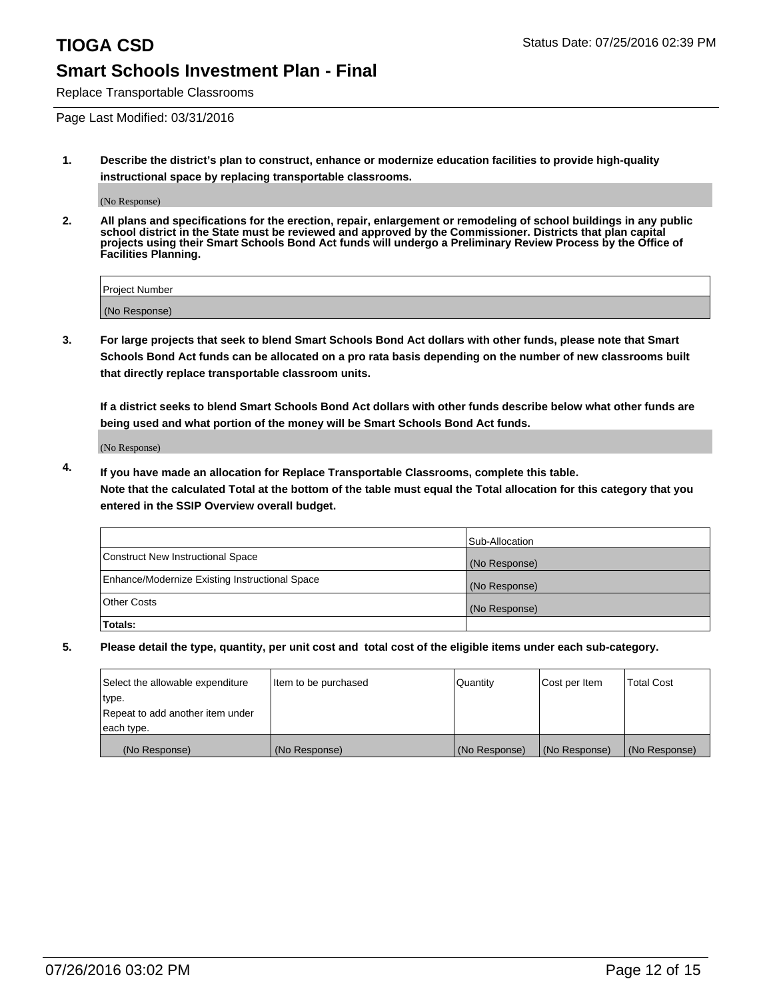Replace Transportable Classrooms

Page Last Modified: 03/31/2016

**1. Describe the district's plan to construct, enhance or modernize education facilities to provide high-quality instructional space by replacing transportable classrooms.**

(No Response)

**2. All plans and specifications for the erection, repair, enlargement or remodeling of school buildings in any public school district in the State must be reviewed and approved by the Commissioner. Districts that plan capital projects using their Smart Schools Bond Act funds will undergo a Preliminary Review Process by the Office of Facilities Planning.**

| <b>Project Number</b> |  |
|-----------------------|--|
| (No Response)         |  |

**3. For large projects that seek to blend Smart Schools Bond Act dollars with other funds, please note that Smart Schools Bond Act funds can be allocated on a pro rata basis depending on the number of new classrooms built that directly replace transportable classroom units.**

**If a district seeks to blend Smart Schools Bond Act dollars with other funds describe below what other funds are being used and what portion of the money will be Smart Schools Bond Act funds.**

(No Response)

**4. If you have made an allocation for Replace Transportable Classrooms, complete this table. Note that the calculated Total at the bottom of the table must equal the Total allocation for this category that you entered in the SSIP Overview overall budget.**

|                                                | Sub-Allocation |
|------------------------------------------------|----------------|
| Construct New Instructional Space              | (No Response)  |
| Enhance/Modernize Existing Instructional Space | (No Response)  |
| Other Costs                                    | (No Response)  |
| Totals:                                        |                |

| Select the allowable expenditure | Item to be purchased | Quantity      | Cost per Item | <b>Total Cost</b> |
|----------------------------------|----------------------|---------------|---------------|-------------------|
| type.                            |                      |               |               |                   |
| Repeat to add another item under |                      |               |               |                   |
| each type.                       |                      |               |               |                   |
| (No Response)                    | (No Response)        | (No Response) | (No Response) | (No Response)     |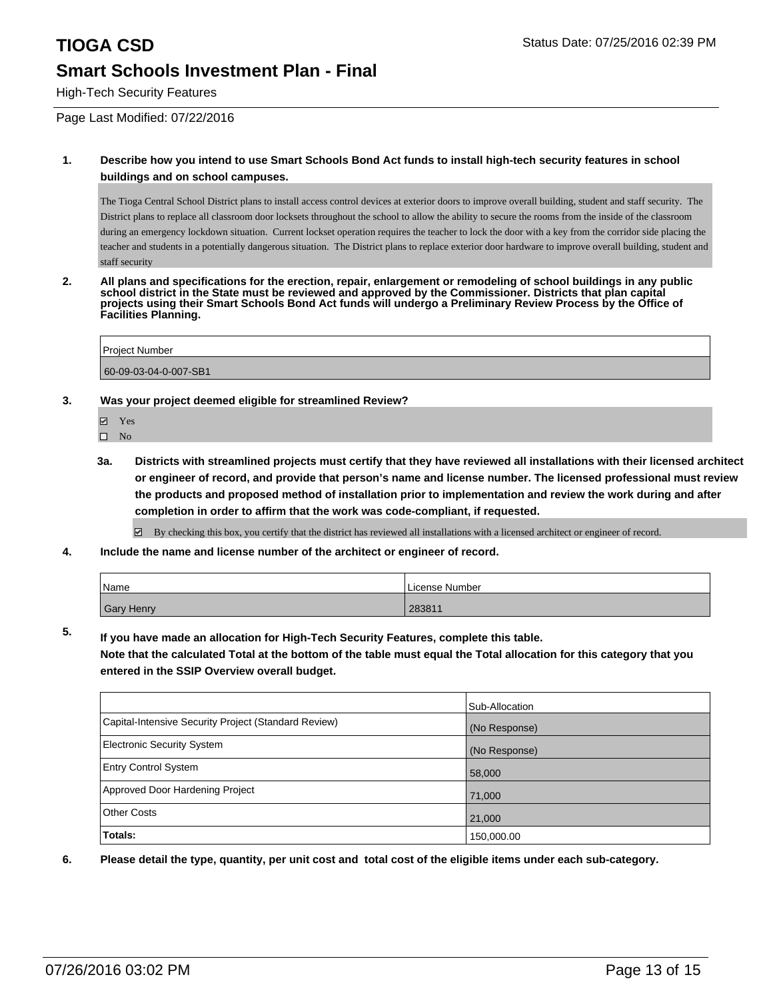High-Tech Security Features

Page Last Modified: 07/22/2016

### **1. Describe how you intend to use Smart Schools Bond Act funds to install high-tech security features in school buildings and on school campuses.**

The Tioga Central School District plans to install access control devices at exterior doors to improve overall building, student and staff security. The District plans to replace all classroom door locksets throughout the school to allow the ability to secure the rooms from the inside of the classroom during an emergency lockdown situation. Current lockset operation requires the teacher to lock the door with a key from the corridor side placing the teacher and students in a potentially dangerous situation. The District plans to replace exterior door hardware to improve overall building, student and staff security

**2. All plans and specifications for the erection, repair, enlargement or remodeling of school buildings in any public school district in the State must be reviewed and approved by the Commissioner. Districts that plan capital projects using their Smart Schools Bond Act funds will undergo a Preliminary Review Process by the Office of Facilities Planning.** 

Project Number 60-09-03-04-0-007-SB1

### **3. Was your project deemed eligible for streamlined Review?**

- **☑** Yes
- $\square$  No
- **3a. Districts with streamlined projects must certify that they have reviewed all installations with their licensed architect or engineer of record, and provide that person's name and license number. The licensed professional must review the products and proposed method of installation prior to implementation and review the work during and after completion in order to affirm that the work was code-compliant, if requested.**

By checking this box, you certify that the district has reviewed all installations with a licensed architect or engineer of record.

**4. Include the name and license number of the architect or engineer of record.**

| Name              | License Number |
|-------------------|----------------|
| <b>Gary Henry</b> | 283811         |

**5. If you have made an allocation for High-Tech Security Features, complete this table.**

**Note that the calculated Total at the bottom of the table must equal the Total allocation for this category that you entered in the SSIP Overview overall budget.**

|                                                      | Sub-Allocation |
|------------------------------------------------------|----------------|
| Capital-Intensive Security Project (Standard Review) | (No Response)  |
| <b>Electronic Security System</b>                    | (No Response)  |
| <b>Entry Control System</b>                          | 58,000         |
| Approved Door Hardening Project                      | 71,000         |
| <b>Other Costs</b>                                   | 21,000         |
| Totals:                                              | 150,000.00     |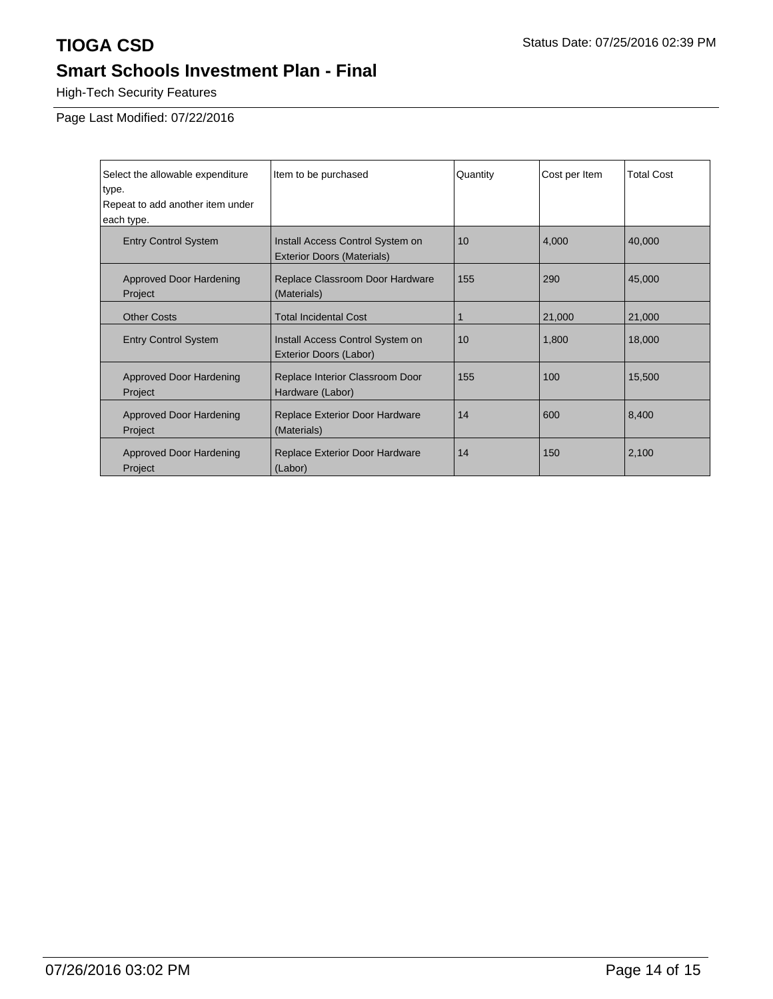High-Tech Security Features

Page Last Modified: 07/22/2016

| Select the allowable expenditure<br>type. | Item to be purchased                                                  | Quantity | Cost per Item | <b>Total Cost</b> |
|-------------------------------------------|-----------------------------------------------------------------------|----------|---------------|-------------------|
| Repeat to add another item under          |                                                                       |          |               |                   |
| each type.                                |                                                                       |          |               |                   |
| <b>Entry Control System</b>               | Install Access Control System on<br><b>Exterior Doors (Materials)</b> | 10       | 4,000         | 40,000            |
| <b>Approved Door Hardening</b><br>Project | Replace Classroom Door Hardware<br>(Materials)                        | 155      | 290           | 45,000            |
| <b>Other Costs</b>                        | <b>Total Incidental Cost</b>                                          |          | 21,000        | 21,000            |
| <b>Entry Control System</b>               | Install Access Control System on<br>Exterior Doors (Labor)            | 10       | 1,800         | 18,000            |
| <b>Approved Door Hardening</b><br>Project | Replace Interior Classroom Door<br>Hardware (Labor)                   | 155      | 100           | 15,500            |
| <b>Approved Door Hardening</b><br>Project | Replace Exterior Door Hardware<br>(Materials)                         | 14       | 600           | 8,400             |
| <b>Approved Door Hardening</b><br>Project | <b>Replace Exterior Door Hardware</b><br>(Labor)                      | 14       | 150           | 2,100             |